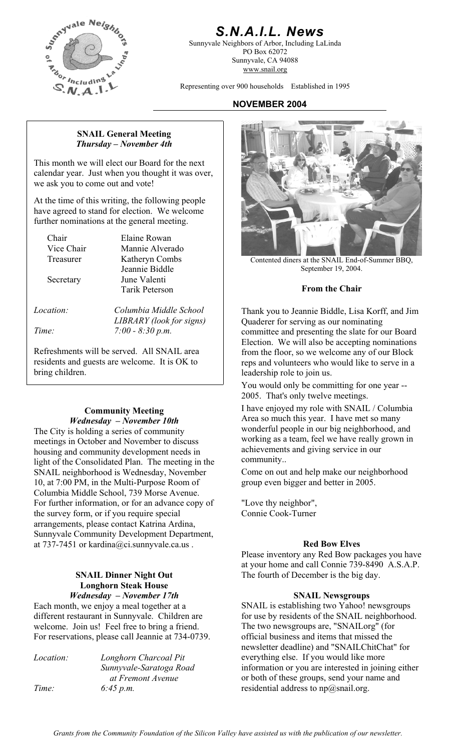

# *S.N.A.I.L. News*

Sunnyvale Neighbors of Arbor, Including LaLinda PO Box 62072 Sunnyvale, CA 94088 www.snail.org

Representing over 900 households Established in 1995

#### **NOVEMBER 2004**

#### **SNAIL General Meeting**  *Thursday – November 4th*

This month we will elect our Board for the next calendar year. Just when you thought it was over, we ask you to come out and vote!

At the time of this writing, the following people have agreed to stand for election. We welcome further nominations at the general meeting.

Chair Elaine Rowan

Vice Chair Mannie Alverado Jeannie Biddle Secretary June Valenti **From the Chair** Tarik Peterson

*LIBRARY (look for signs) Time: 7:00 - 8:30 p.m.* 

Refreshments will be served. All SNAIL area residents and guests are welcome. It is OK to bring children.

#### **Community Meeting**  *Wednesday – November 10th*

The City is holding a series of community meetings in October and November to discuss housing and community development needs in light of the Consolidated Plan. The meeting in the SNAIL neighborhood is Wednesday, November 10, at 7:00 PM, in the Multi-Purpose Room of Columbia Middle School, 739 Morse Avenue. For further information, or for an advance copy of "Love thy neighbor", the survey form, or if you require special arrangements, please contact Katrina Ardina, Sunnyvale Community Development Department, at 737-7451 or kardina@ci.sunnyvale.ca.us .

# **Longhorn Steak House**

Each month, we enjoy a meal together at a different restaurant in Sunnyvale. Children are welcome. Join us! Feel free to bring a friend. For reservations, please call Jeannie at 734-0739.

*Location: Longhorn Charcoal Pit Sunnyvale-Saratoga Road at Fremont Avenue Time: 6:45 p.m.* 



Treasurer Katheryn Combs<br>
Leannie Biddle<br>
Contented diners at the SNAIL End-of-Summer BBQ,<br>
September 19, 2004.

*Location: Columbia Middle School* Thank you to Jeannie Biddle, Lisa Korff, and Jim Quaderer for serving as our nominating committee and presenting the slate for our Board Election. We will also be accepting nominations from the floor, so we welcome any of our Block reps and volunteers who would like to serve in a leadership role to join us.

> You would only be committing for one year -- 2005. That's only twelve meetings.

I have enjoyed my role with SNAIL / Columbia Area so much this year. I have met so many wonderful people in our big neighborhood, and working as a team, feel we have really grown in achievements and giving service in our community..

Come on out and help make our neighborhood group even bigger and better in 2005.

Connie Cook-Turner

#### **Red Bow Elves**

Please inventory any Red Bow packages you have at your home and call Connie 739-8490 A.S.A.P. **SNAIL Dinner Night Out** The fourth of December is the big day.

#### *Wednesday – November 17th* **SNAIL Newsgroups**

SNAIL is establishing two Yahoo! newsgroups for use by residents of the SNAIL neighborhood. The two newsgroups are, "SNAILorg" (for official business and items that missed the newsletter deadline) and "SNAILChitChat" for everything else. If you would like more information or you are interested in joining either or both of these groups, send your name and residential address to  $np@snail.org$ .